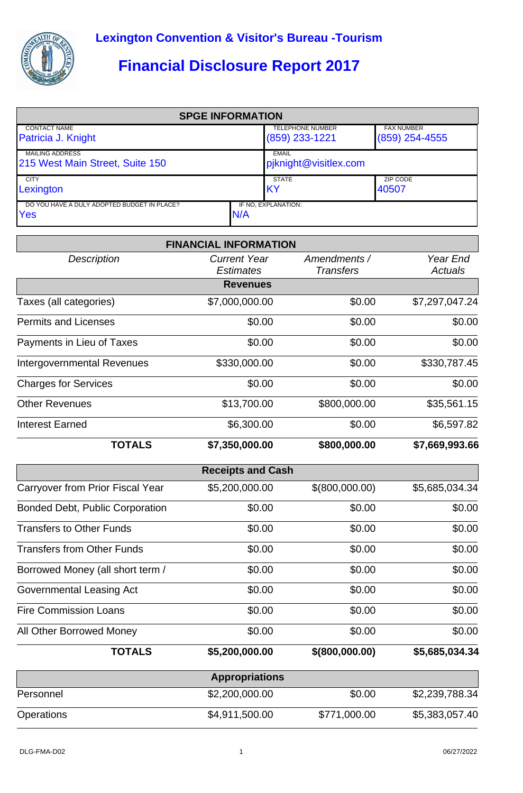

## **Financial Disclosure Report 2017**

| <b>SPGE INFORMATION</b>                            |     |                         |                   |  |  |
|----------------------------------------------------|-----|-------------------------|-------------------|--|--|
| <b>CONTACT NAME</b>                                |     | <b>TELEPHONE NUMBER</b> | <b>FAX NUMBER</b> |  |  |
| Patricia J. Knight                                 |     | $(859)$ 233-1221        | $(859)$ 254-4555  |  |  |
| <b>MAILING ADDRESS</b>                             |     | <b>EMAIL</b>            |                   |  |  |
| 215 West Main Street, Suite 150                    |     | pjknight@visitlex.com   |                   |  |  |
| <b>CITY</b>                                        |     | <b>STATE</b>            | ZIP CODE          |  |  |
| Lexington                                          |     | <b>IKY</b>              | 40507             |  |  |
| DO YOU HAVE A DULY ADOPTED BUDGET IN PLACE?<br>Yes | N/A | IF NO. EXPLANATION:     |                   |  |  |

|                                        | <b>FINANCIAL INFORMATION</b>            |                                  |                            |
|----------------------------------------|-----------------------------------------|----------------------------------|----------------------------|
| <b>Description</b>                     | <b>Current Year</b><br><b>Estimates</b> | Amendments /<br><b>Transfers</b> | Year End<br><b>Actuals</b> |
|                                        | <b>Revenues</b>                         |                                  |                            |
| Taxes (all categories)                 | \$7,000,000.00                          | \$0.00                           | \$7,297,047.24             |
| <b>Permits and Licenses</b>            | \$0.00                                  | \$0.00                           | \$0.00                     |
| Payments in Lieu of Taxes              | \$0.00                                  | \$0.00                           | \$0.00                     |
| <b>Intergovernmental Revenues</b>      | \$330,000.00                            | \$0.00                           | \$330,787.45               |
| <b>Charges for Services</b>            | \$0.00                                  | \$0.00                           | \$0.00                     |
| <b>Other Revenues</b>                  | \$13,700.00                             | \$800,000.00                     | \$35,561.15                |
| <b>Interest Earned</b>                 | \$6,300.00                              | \$0.00                           | \$6,597.82                 |
| <b>TOTALS</b>                          | \$7,350,000.00                          | \$800,000.00                     | \$7,669,993.66             |
|                                        | <b>Receipts and Cash</b>                |                                  |                            |
| Carryover from Prior Fiscal Year       | \$5,200,000.00                          | \$(800,000.00)                   | \$5,685,034.34             |
| <b>Bonded Debt, Public Corporation</b> | \$0.00                                  | \$0.00                           | \$0.00                     |
| <b>Transfers to Other Funds</b>        | \$0.00                                  | \$0.00                           | \$0.00                     |
| <b>Transfers from Other Funds</b>      | \$0.00                                  | \$0.00                           | \$0.00                     |
| Borrowed Money (all short term /       | \$0.00                                  | \$0.00                           | \$0.00                     |
| Governmental Leasing Act               | \$0.00                                  | \$0.00                           | \$0.00                     |
| <b>Fire Commission Loans</b>           | \$0.00                                  | \$0.00                           | \$0.00                     |
| All Other Borrowed Money               | \$0.00                                  | \$0.00                           | \$0.00                     |
| <b>TOTALS</b>                          | \$5,200,000.00                          | $$$ (800,000.00)                 | \$5,685,034.34             |
|                                        | <b>Appropriations</b>                   |                                  |                            |
| Personnel                              | \$2,200,000.00                          | \$0.00                           | \$2,239,788.34             |
| Operations                             | \$4,911,500.00                          | \$771,000.00                     | \$5,383,057.40             |